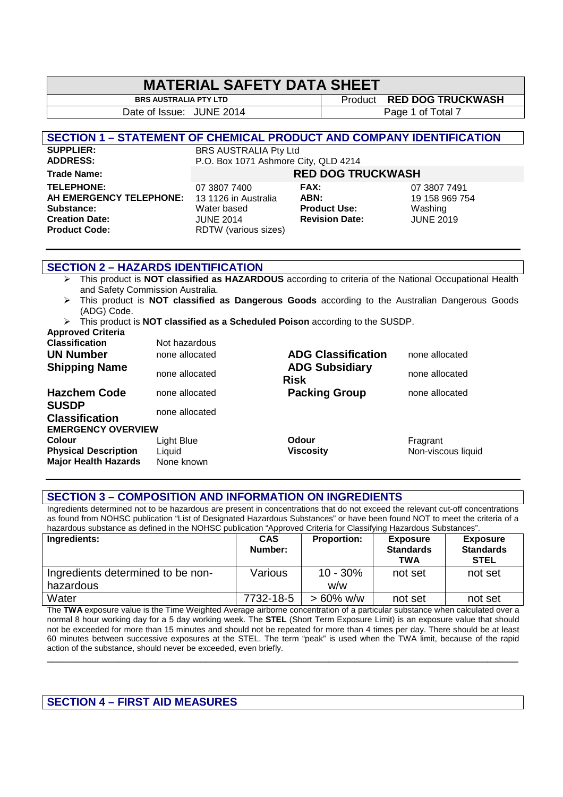### **MATERIAL SAFETY DATA SHEET**

Date of Issue: JUNE 2014 **Page 1 of Total 7** 

**BRS AUSTRALIA PTY LTD** Product **RED DOG TRUCKWASH** 

#### **SECTION 1 – STATEMENT OF CHEMICAL PRODUCT AND COMPANY IDENTIFICATION**

**Trade Name: RED DOG TRUCKWASH TELEPHONE:** 07 3807 7400 **FAX:** 07 3807 7491 **AH EMERGENCY TELEPHONE:** 13 1126 in Australia **ABN:** 19 158 969 754 **Substance:** Water based **Product Use:** Washing **Creation Date:** JUNE 2014 **Revision Date:** JUNE 2019<br>**Product Code:** RDTW (various sizes)

**SUPPLIER:** BRS AUSTRALIA Pty Ltd<br> **ADDRESS:** P.O. Box 1071 Ashmore ( P.O. Box 1071 Ashmore City, QLD 4214

**RDTW** (various sizes)

| בט טטש ומנ            |  |
|-----------------------|--|
| =AX:                  |  |
| ABN:                  |  |
| Product Use:          |  |
| <b>Revision Date:</b> |  |
|                       |  |

#### **SECTION 2 – HAZARDS IDENTIFICATION**

- This product is **NOT classified as HAZARDOUS** according to criteria of the National Occupational Health and Safety Commission Australia.
- This product is **NOT classified as Dangerous Goods** according to the Australian Dangerous Goods (ADG) Code.
- This product is **NOT classified as a Scheduled Poison** according to the SUSDP.

| <b>Approved Criteria</b>              |                |                                      |                    |
|---------------------------------------|----------------|--------------------------------------|--------------------|
| <b>Classification</b>                 | Not hazardous  |                                      |                    |
| <b>UN Number</b>                      | none allocated | <b>ADG Classification</b>            | none allocated     |
| <b>Shipping Name</b>                  | none allocated | <b>ADG Subsidiary</b><br><b>Risk</b> | none allocated     |
| <b>Hazchem Code</b>                   | none allocated | <b>Packing Group</b>                 | none allocated     |
| <b>SUSDP</b><br><b>Classification</b> | none allocated |                                      |                    |
| <b>EMERGENCY OVERVIEW</b>             |                |                                      |                    |
| <b>Colour</b>                         | Light Blue     | <b>Odour</b>                         | Fragrant           |
| <b>Physical Description</b>           | Liquid         | <b>Viscosity</b>                     | Non-viscous liquid |
| <b>Major Health Hazards</b>           | None known     |                                      |                    |

#### **SECTION 3 – COMPOSITION AND INFORMATION ON INGREDIENTS**

Ingredients determined not to be hazardous are present in concentrations that do not exceed the relevant cut-off concentrations as found from NOHSC publication "List of Designated Hazardous Substances" or have been found NOT to meet the criteria of a hazardous substance as defined in the NOHSC publication "Approved Criteria for Classifying Hazardous Substances".

| Ingredients:                      | <b>CAS</b><br>Number: | <b>Proportion:</b> | <b>Exposure</b><br><b>Standards</b><br><b>TWA</b> | <b>Exposure</b><br><b>Standards</b><br><b>STEL</b> |
|-----------------------------------|-----------------------|--------------------|---------------------------------------------------|----------------------------------------------------|
| Ingredients determined to be non- | Various               | $10 - 30\%$        | not set                                           | not set                                            |
| hazardous                         |                       | w/w                |                                                   |                                                    |
| Water                             | 7732-18-5             | $> 60\%$ w/w       | not set                                           | not set                                            |

The **TWA** exposure value is the Time Weighted Average airborne concentration of a particular substance when calculated over a normal 8 hour working day for a 5 day working week. The **STEL** (Short Term Exposure Limit) is an exposure value that should not be exceeded for more than 15 minutes and should not be repeated for more than 4 times per day. There should be at least 60 minutes between successive exposures at the STEL. The term "peak" is used when the TWA limit, because of the rapid action of the substance, should never be exceeded, even briefly.

**\_\_\_\_\_\_\_\_\_\_\_\_\_\_\_\_\_\_\_\_\_\_\_\_\_\_\_\_\_\_\_\_\_\_\_\_\_\_\_\_\_\_\_\_\_\_\_\_\_\_\_\_\_\_\_\_\_\_\_\_\_\_\_\_\_\_\_\_\_\_\_\_\_\_\_\_\_\_\_\_\_\_\_\_\_\_\_\_\_\_\_\_** 

#### **SECTION 4 – FIRST AID MEASURES**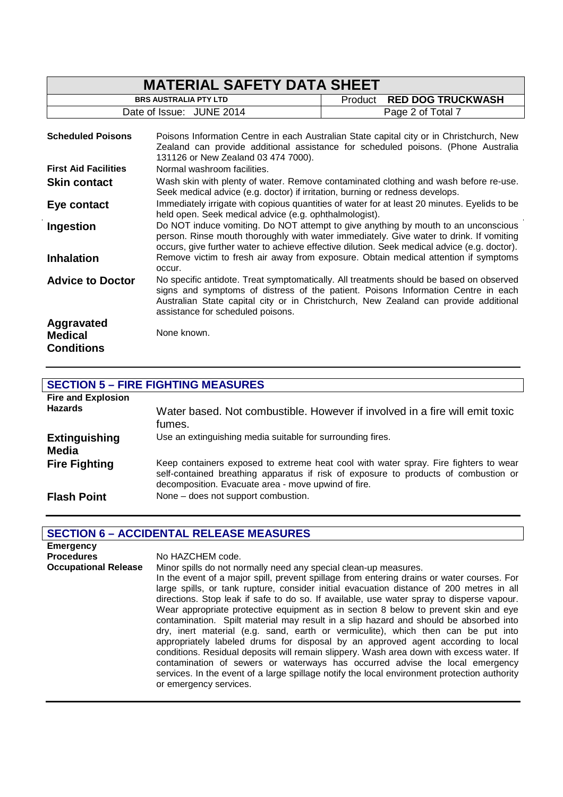| <b>MATERIAL SAFETY DATA SHEET</b>                 |                                                                                                                                                                                                                                                                               |                                                                                                                                                                                                                                                                      |  |
|---------------------------------------------------|-------------------------------------------------------------------------------------------------------------------------------------------------------------------------------------------------------------------------------------------------------------------------------|----------------------------------------------------------------------------------------------------------------------------------------------------------------------------------------------------------------------------------------------------------------------|--|
|                                                   | <b>BRS AUSTRALIA PTY LTD</b>                                                                                                                                                                                                                                                  | <b>RED DOG TRUCKWASH</b><br>Product                                                                                                                                                                                                                                  |  |
|                                                   | Date of Issue: JUNE 2014                                                                                                                                                                                                                                                      | Page 2 of Total 7                                                                                                                                                                                                                                                    |  |
| <b>Scheduled Poisons</b>                          | 131126 or New Zealand 03 474 7000).                                                                                                                                                                                                                                           | Poisons Information Centre in each Australian State capital city or in Christchurch, New<br>Zealand can provide additional assistance for scheduled poisons. (Phone Australia                                                                                        |  |
| <b>First Aid Facilities</b>                       | Normal washroom facilities.                                                                                                                                                                                                                                                   |                                                                                                                                                                                                                                                                      |  |
| <b>Skin contact</b>                               | Wash skin with plenty of water. Remove contaminated clothing and wash before re-use.<br>Seek medical advice (e.g. doctor) if irritation, burning or redness develops.                                                                                                         |                                                                                                                                                                                                                                                                      |  |
| Eye contact                                       | Immediately irrigate with copious quantities of water for at least 20 minutes. Eyelids to be<br>held open. Seek medical advice (e.g. ophthalmologist).                                                                                                                        |                                                                                                                                                                                                                                                                      |  |
| Ingestion                                         | Do NOT induce vomiting. Do NOT attempt to give anything by mouth to an unconscious<br>person. Rinse mouth thoroughly with water immediately. Give water to drink. If vomiting<br>occurs, give further water to achieve effective dilution. Seek medical advice (e.g. doctor). |                                                                                                                                                                                                                                                                      |  |
| <b>Inhalation</b>                                 | occur.                                                                                                                                                                                                                                                                        | Remove victim to fresh air away from exposure. Obtain medical attention if symptoms                                                                                                                                                                                  |  |
| <b>Advice to Doctor</b>                           | assistance for scheduled poisons.                                                                                                                                                                                                                                             | No specific antidote. Treat symptomatically. All treatments should be based on observed<br>signs and symptoms of distress of the patient. Poisons Information Centre in each<br>Australian State capital city or in Christchurch, New Zealand can provide additional |  |
| Aggravated<br><b>Medical</b><br><b>Conditions</b> | None known.                                                                                                                                                                                                                                                                   |                                                                                                                                                                                                                                                                      |  |

## **SECTION 5 – FIRE FIGHTING MEASURES**

| <b>Fire and Explosion</b><br><b>Hazards</b> | Water based. Not combustible. However if involved in a fire will emit toxic<br>fumes.                                                                                                                                              |
|---------------------------------------------|------------------------------------------------------------------------------------------------------------------------------------------------------------------------------------------------------------------------------------|
| <b>Extinguishing</b><br>Media               | Use an extinguishing media suitable for surrounding fires.                                                                                                                                                                         |
| <b>Fire Fighting</b>                        | Keep containers exposed to extreme heat cool with water spray. Fire fighters to wear<br>self-contained breathing apparatus if risk of exposure to products of combustion or<br>decomposition. Evacuate area - move upwind of fire. |
| <b>Flash Point</b>                          | None – does not support combustion.                                                                                                                                                                                                |

### **SECTION 6 – ACCIDENTAL RELEASE MEASURES**

| <b>Emergency</b><br><b>Procedures</b> | No HAZCHEM code.                                                                                                                                                                                                                                                                                                                                                                                                                                                                                                                                                                                                                                                                                                                                                                                                                                                                                                                                                                                                       |
|---------------------------------------|------------------------------------------------------------------------------------------------------------------------------------------------------------------------------------------------------------------------------------------------------------------------------------------------------------------------------------------------------------------------------------------------------------------------------------------------------------------------------------------------------------------------------------------------------------------------------------------------------------------------------------------------------------------------------------------------------------------------------------------------------------------------------------------------------------------------------------------------------------------------------------------------------------------------------------------------------------------------------------------------------------------------|
| <b>Occupational Release</b>           | Minor spills do not normally need any special clean-up measures.<br>In the event of a major spill, prevent spillage from entering drains or water courses. For<br>large spills, or tank rupture, consider initial evacuation distance of 200 metres in all<br>directions. Stop leak if safe to do so. If available, use water spray to disperse vapour.<br>Wear appropriate protective equipment as in section 8 below to prevent skin and eye<br>contamination. Spilt material may result in a slip hazard and should be absorbed into<br>dry, inert material (e.g. sand, earth or vermiculite), which then can be put into<br>appropriately labeled drums for disposal by an approved agent according to local<br>conditions. Residual deposits will remain slippery. Wash area down with excess water. If<br>contamination of sewers or waterways has occurred advise the local emergency<br>services. In the event of a large spillage notify the local environment protection authority<br>or emergency services. |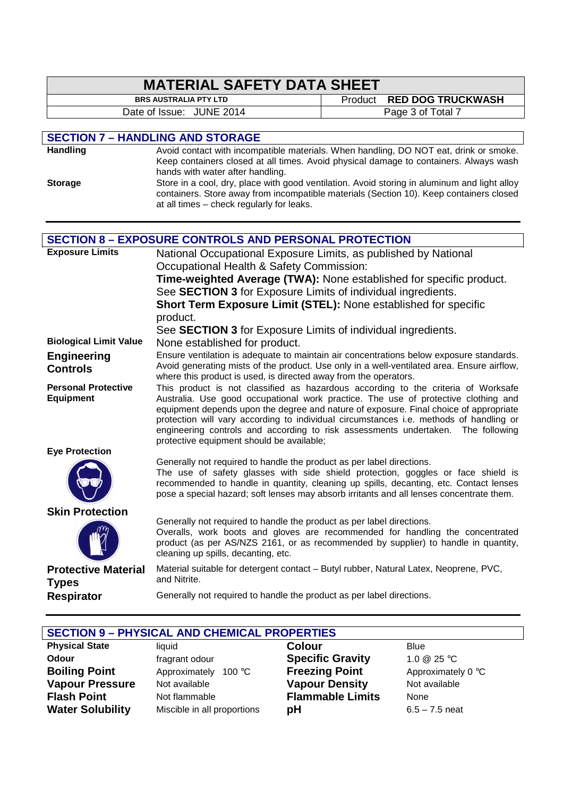| <b>MATERIAL SAFETY DATA SHEET</b>                                                                                                                                   |                                                                                                                                                                             |         |                                               |
|---------------------------------------------------------------------------------------------------------------------------------------------------------------------|-----------------------------------------------------------------------------------------------------------------------------------------------------------------------------|---------|-----------------------------------------------|
|                                                                                                                                                                     | <b>BRS AUSTRALIA PTY LTD</b>                                                                                                                                                |         |                                               |
| Date of Issue: JUNE 2014                                                                                                                                            |                                                                                                                                                                             | Product | <b>RED DOG TRUCKWASH</b><br>Page 3 of Total 7 |
|                                                                                                                                                                     |                                                                                                                                                                             |         |                                               |
|                                                                                                                                                                     | <b>SECTION 7 - HANDLING AND STORAGE</b>                                                                                                                                     |         |                                               |
| <b>Handling</b>                                                                                                                                                     | Avoid contact with incompatible materials. When handling, DO NOT eat, drink or smoke.                                                                                       |         |                                               |
|                                                                                                                                                                     | Keep containers closed at all times. Avoid physical damage to containers. Always wash                                                                                       |         |                                               |
|                                                                                                                                                                     | hands with water after handling.                                                                                                                                            |         |                                               |
| <b>Storage</b>                                                                                                                                                      | Store in a cool, dry, place with good ventilation. Avoid storing in aluminum and light alloy                                                                                |         |                                               |
|                                                                                                                                                                     | containers. Store away from incompatible materials (Section 10). Keep containers closed<br>at all times - check regularly for leaks.                                        |         |                                               |
|                                                                                                                                                                     |                                                                                                                                                                             |         |                                               |
|                                                                                                                                                                     |                                                                                                                                                                             |         |                                               |
|                                                                                                                                                                     | <b>SECTION 8 - EXPOSURE CONTROLS AND PERSONAL PROTECTION</b>                                                                                                                |         |                                               |
| <b>Exposure Limits</b>                                                                                                                                              | National Occupational Exposure Limits, as published by National                                                                                                             |         |                                               |
|                                                                                                                                                                     | Occupational Health & Safety Commission:                                                                                                                                    |         |                                               |
|                                                                                                                                                                     | Time-weighted Average (TWA): None established for specific product.                                                                                                         |         |                                               |
|                                                                                                                                                                     | See SECTION 3 for Exposure Limits of individual ingredients.                                                                                                                |         |                                               |
|                                                                                                                                                                     | Short Term Exposure Limit (STEL): None established for specific                                                                                                             |         |                                               |
|                                                                                                                                                                     | product.                                                                                                                                                                    |         |                                               |
| <b>Biological Limit Value</b>                                                                                                                                       | See SECTION 3 for Exposure Limits of individual ingredients.                                                                                                                |         |                                               |
|                                                                                                                                                                     | None established for product.<br>Ensure ventilation is adequate to maintain air concentrations below exposure standards.                                                    |         |                                               |
| Engineering                                                                                                                                                         | Avoid generating mists of the product. Use only in a well-ventilated area. Ensure airflow,                                                                                  |         |                                               |
| <b>Controls</b>                                                                                                                                                     | where this product is used, is directed away from the operators.                                                                                                            |         |                                               |
| <b>Personal Protective</b>                                                                                                                                          | This product is not classified as hazardous according to the criteria of Worksafe                                                                                           |         |                                               |
| <b>Equipment</b>                                                                                                                                                    | Australia. Use good occupational work practice. The use of protective clothing and<br>equipment depends upon the degree and nature of exposure. Final choice of appropriate |         |                                               |
|                                                                                                                                                                     | protection will vary according to individual circumstances i.e. methods of handling or                                                                                      |         |                                               |
|                                                                                                                                                                     | engineering controls and according to risk assessments undertaken. The following                                                                                            |         |                                               |
|                                                                                                                                                                     | protective equipment should be available;                                                                                                                                   |         |                                               |
| <b>Eye Protection</b>                                                                                                                                               |                                                                                                                                                                             |         |                                               |
|                                                                                                                                                                     | Generally not required to handle the product as per label directions.<br>The use of safety glasses with side shield protection, goggles or face shield is                   |         |                                               |
|                                                                                                                                                                     | recommended to handle in quantity, cleaning up spills, decanting, etc. Contact lenses                                                                                       |         |                                               |
|                                                                                                                                                                     | pose a special hazard; soft lenses may absorb irritants and all lenses concentrate them.                                                                                    |         |                                               |
| <b>Skin Protection</b>                                                                                                                                              |                                                                                                                                                                             |         |                                               |
|                                                                                                                                                                     | Generally not required to handle the product as per label directions.                                                                                                       |         |                                               |
| Overalls, work boots and gloves are recommended for handling the concentrated<br>product (as per AS/NZS 2161, or as recommended by supplier) to handle in quantity, |                                                                                                                                                                             |         |                                               |
|                                                                                                                                                                     | cleaning up spills, decanting, etc.                                                                                                                                         |         |                                               |
|                                                                                                                                                                     | Material suitable for detergent contact - Butyl rubber, Natural Latex, Neoprene, PVC,                                                                                       |         |                                               |
| <b>Protective Material</b><br><b>Types</b>                                                                                                                          | and Nitrite.                                                                                                                                                                |         |                                               |
| <b>Respirator</b>                                                                                                                                                   | Generally not required to handle the product as per label directions.                                                                                                       |         |                                               |

| <b>SECTION 9 - PHYSICAL AND CHEMICAL PROPERTIES</b> |                             |                         |                    |
|-----------------------------------------------------|-----------------------------|-------------------------|--------------------|
| <b>Physical State</b>                               | liauid                      | <b>Colour</b>           | <b>Blue</b>        |
| Odour                                               | fragrant odour              | <b>Specific Gravity</b> | 1.0 $@$ 25 °C      |
| <b>Boiling Point</b>                                | Approximately<br>100 °C     | <b>Freezing Point</b>   | Approximately 0 °C |
| <b>Vapour Pressure</b>                              | Not available               | <b>Vapour Density</b>   | Not available      |
| <b>Flash Point</b>                                  | Not flammable               | <b>Flammable Limits</b> | None               |
| <b>Water Solubility</b>                             | Miscible in all proportions | pH                      | $6.5 - 7.5$ neat   |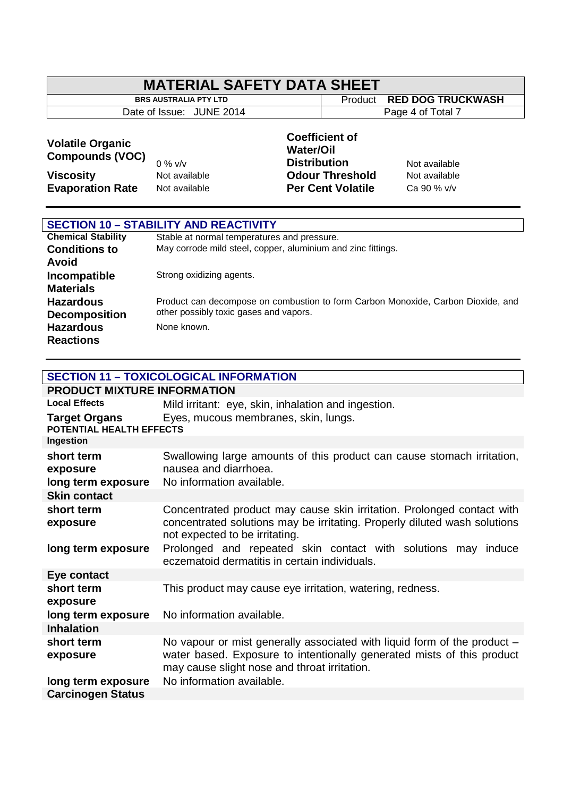| <b>MATERIAL SAFETY DATA SHEET</b>                                                                |                                             |                                                                  |                                                    |                                               |
|--------------------------------------------------------------------------------------------------|---------------------------------------------|------------------------------------------------------------------|----------------------------------------------------|-----------------------------------------------|
|                                                                                                  | <b>BRS AUSTRALIA PTY LTD</b>                |                                                                  | Product                                            | <b>RED DOG TRUCKWASH</b>                      |
|                                                                                                  | Date of Issue: JUNE 2014                    |                                                                  |                                                    | Page 4 of Total 7                             |
| <b>Volatile Organic</b><br><b>Compounds (VOC)</b><br><b>Viscosity</b><br><b>Evaporation Rate</b> | $0\%$ v/v<br>Not available<br>Not available | <b>Coefficient of</b><br><b>Water/Oil</b><br><b>Distribution</b> | <b>Odour Threshold</b><br><b>Per Cent Volatile</b> | Not available<br>Not available<br>Ca 90 % v/v |

| <b>SECTION 10 - STABILITY AND REACTIVITY</b> |                                                                                  |  |  |
|----------------------------------------------|----------------------------------------------------------------------------------|--|--|
| <b>Chemical Stability</b>                    | Stable at normal temperatures and pressure.                                      |  |  |
| <b>Conditions to</b>                         | May corrode mild steel, copper, aluminium and zinc fittings.                     |  |  |
| Avoid                                        |                                                                                  |  |  |
| Incompatible                                 | Strong oxidizing agents.                                                         |  |  |
| <b>Materials</b>                             |                                                                                  |  |  |
| <b>Hazardous</b>                             | Product can decompose on combustion to form Carbon Monoxide, Carbon Dioxide, and |  |  |
| <b>Decomposition</b>                         | other possibly toxic gases and vapors.                                           |  |  |
| <b>Hazardous</b>                             | None known.                                                                      |  |  |
| <b>Reactions</b>                             |                                                                                  |  |  |

| <b>SECTION 11 - TOXICOLOGICAL INFORMATION</b>    |                                                                                                                                                                                                    |  |  |  |
|--------------------------------------------------|----------------------------------------------------------------------------------------------------------------------------------------------------------------------------------------------------|--|--|--|
|                                                  | <b>PRODUCT MIXTURE INFORMATION</b>                                                                                                                                                                 |  |  |  |
| <b>Local Effects</b>                             | Mild irritant: eye, skin, inhalation and ingestion.                                                                                                                                                |  |  |  |
| <b>Target Organs</b><br>POTENTIAL HEALTH EFFECTS | Eyes, mucous membranes, skin, lungs.                                                                                                                                                               |  |  |  |
| Ingestion                                        |                                                                                                                                                                                                    |  |  |  |
| short term<br>exposure<br>long term exposure     | Swallowing large amounts of this product can cause stomach irritation,<br>nausea and diarrhoea.<br>No information available.                                                                       |  |  |  |
| <b>Skin contact</b>                              |                                                                                                                                                                                                    |  |  |  |
| short term<br>exposure                           | Concentrated product may cause skin irritation. Prolonged contact with<br>concentrated solutions may be irritating. Properly diluted wash solutions<br>not expected to be irritating.              |  |  |  |
| long term exposure                               | Prolonged and repeated skin contact with solutions may induce<br>eczematoid dermatitis in certain individuals.                                                                                     |  |  |  |
| Eye contact                                      |                                                                                                                                                                                                    |  |  |  |
| short term<br>exposure                           | This product may cause eye irritation, watering, redness.                                                                                                                                          |  |  |  |
| long term exposure                               | No information available.                                                                                                                                                                          |  |  |  |
| <b>Inhalation</b>                                |                                                                                                                                                                                                    |  |  |  |
| short term<br>exposure                           | No vapour or mist generally associated with liquid form of the product -<br>water based. Exposure to intentionally generated mists of this product<br>may cause slight nose and throat irritation. |  |  |  |
| long term exposure                               | No information available.                                                                                                                                                                          |  |  |  |
| <b>Carcinogen Status</b>                         |                                                                                                                                                                                                    |  |  |  |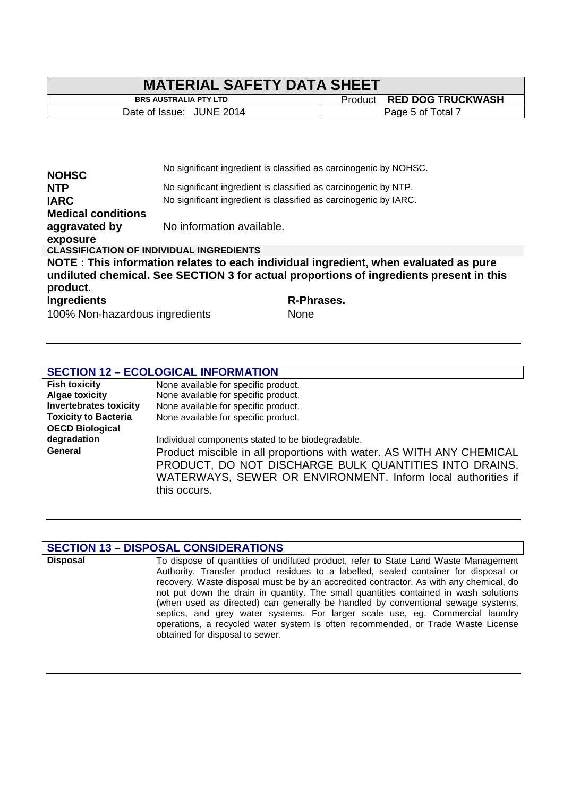| <b>MATERIAL SAFETY DATA SHEET</b> |  |                           |  |
|-----------------------------------|--|---------------------------|--|
| <b>BRS AUSTRALIA PTY LTD</b>      |  | Product RED DOG TRUCKWASH |  |
| Date of Issue: JUNE 2014          |  | Page 5 of Total 7         |  |

|                                                 |                           | No significant ingredient is classified as carcinogenic by NOHSC.                       |
|-------------------------------------------------|---------------------------|-----------------------------------------------------------------------------------------|
| <b>NOHSC</b>                                    |                           |                                                                                         |
| <b>NTP</b>                                      |                           | No significant ingredient is classified as carcinogenic by NTP.                         |
| <b>IARC</b>                                     |                           | No significant ingredient is classified as carcinogenic by IARC.                        |
| <b>Medical conditions</b>                       |                           |                                                                                         |
| aggravated by                                   | No information available. |                                                                                         |
| exposure                                        |                           |                                                                                         |
| <b>CLASSIFICATION OF INDIVIDUAL INGREDIENTS</b> |                           |                                                                                         |
|                                                 |                           | NOTE: This information relates to each individual ingredient, when evaluated as pure    |
| product.                                        |                           | undiluted chemical. See SECTION 3 for actual proportions of ingredients present in this |
| <b>Ingredients</b>                              |                           | R-Phrases.                                                                              |
| $1000/$ New horses in example to $\mu$          |                           | $N = -$                                                                                 |

100% Non-hazardous ingredients None

### **SECTION 12 – ECOLOGICAL INFORMATION**

| <b>Fish toxicity</b>          | None available for specific product.                                 |  |  |  |
|-------------------------------|----------------------------------------------------------------------|--|--|--|
| <b>Algae toxicity</b>         | None available for specific product.                                 |  |  |  |
| <b>Invertebrates toxicity</b> | None available for specific product.                                 |  |  |  |
| <b>Toxicity to Bacteria</b>   | None available for specific product.                                 |  |  |  |
| <b>OECD Biological</b>        |                                                                      |  |  |  |
| degradation                   | Individual components stated to be biodegradable.                    |  |  |  |
| General                       | Product miscible in all proportions with water. AS WITH ANY CHEMICAL |  |  |  |
|                               | PRODUCT, DO NOT DISCHARGE BULK QUANTITIES INTO DRAINS,               |  |  |  |
|                               | WATERWAYS, SEWER OR ENVIRONMENT. Inform local authorities if         |  |  |  |
|                               | this occurs.                                                         |  |  |  |

#### **SECTION 13 – DISPOSAL CONSIDERATIONS**

**Disposal** To dispose of quantities of undiluted product, refer to State Land Waste Management Authority. Transfer product residues to a labelled, sealed container for disposal or recovery. Waste disposal must be by an accredited contractor. As with any chemical, do not put down the drain in quantity. The small quantities contained in wash solutions (when used as directed) can generally be handled by conventional sewage systems, septics, and grey water systems. For larger scale use, eg. Commercial laundry operations, a recycled water system is often recommended, or Trade Waste License obtained for disposal to sewer.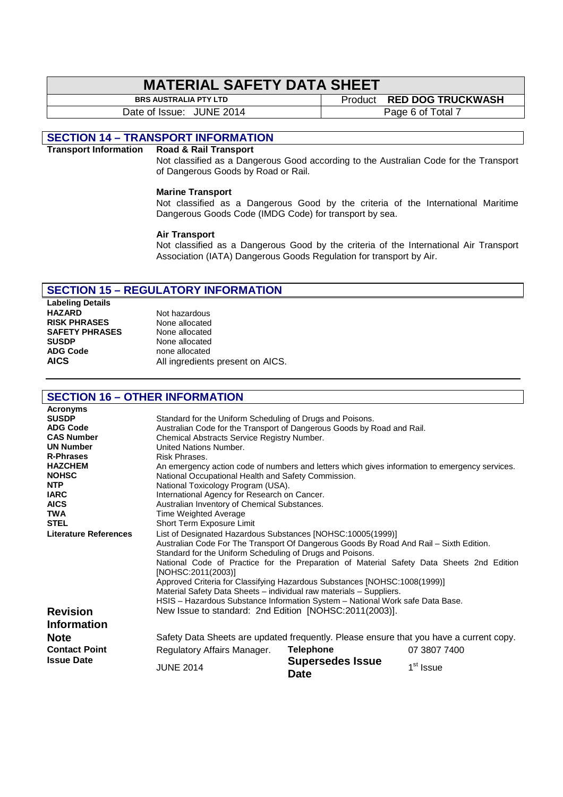# **MATERIAL SAFETY DATA SHEET**<br>BRS AUSTRALIA PTY LTD

Date of Issue: JUNE 2014 Page 6 of Total 7

**Product RED DOG TRUCKWASH** 

#### **SECTION 14 – TRANSPORT INFORMATION**

#### **Transport Information Road & Rail Transport**

Not classified as a Dangerous Good according to the Australian Code for the Transport of Dangerous Goods by Road or Rail.

#### **Marine Transport**

Not classified as a Dangerous Good by the criteria of the International Maritime Dangerous Goods Code (IMDG Code) for transport by sea.

#### **Air Transport**

Not classified as a Dangerous Good by the criteria of the International Air Transport Association (IATA) Dangerous Goods Regulation for transport by Air.

#### **SECTION 15 – REGULATORY INFORMATION**

**Labeling Details HAZARD** Not hazardous<br>**RISK PHRASES** None allocated **RISK PHRASES** None allocated<br> **SAFETY PHRASES** None allocated **SAFETY PHRASES**<br>SUSDP **SUSDP** None allocated<br> **ADG Code None allocated** 

**ADG Code** none allocated **AICS** All ingredients present on AICS.

#### **SECTION 16 – OTHER INFORMATION**

| <b>Acronyms</b>                                                               |                                                                                                |                                        |                       |  |  |
|-------------------------------------------------------------------------------|------------------------------------------------------------------------------------------------|----------------------------------------|-----------------------|--|--|
| <b>SUSDP</b>                                                                  | Standard for the Uniform Scheduling of Drugs and Poisons.                                      |                                        |                       |  |  |
| <b>ADG Code</b>                                                               | Australian Code for the Transport of Dangerous Goods by Road and Rail.                         |                                        |                       |  |  |
| <b>CAS Number</b>                                                             | Chemical Abstracts Service Registry Number.                                                    |                                        |                       |  |  |
| <b>UN Number</b>                                                              | <b>United Nations Number.</b>                                                                  |                                        |                       |  |  |
| <b>R-Phrases</b>                                                              | Risk Phrases.                                                                                  |                                        |                       |  |  |
| <b>HAZCHEM</b>                                                                | An emergency action code of numbers and letters which gives information to emergency services. |                                        |                       |  |  |
| <b>NOHSC</b>                                                                  | National Occupational Health and Safety Commission.                                            |                                        |                       |  |  |
| NTP                                                                           | National Toxicology Program (USA).                                                             |                                        |                       |  |  |
| <b>IARC</b>                                                                   | International Agency for Research on Cancer.                                                   |                                        |                       |  |  |
| <b>AICS</b>                                                                   | Australian Inventory of Chemical Substances.                                                   |                                        |                       |  |  |
| <b>TWA</b>                                                                    | <b>Time Weighted Average</b>                                                                   |                                        |                       |  |  |
| <b>STEL</b>                                                                   | Short Term Exposure Limit                                                                      |                                        |                       |  |  |
| <b>Literature References</b>                                                  | List of Designated Hazardous Substances [NOHSC:10005(1999)]                                    |                                        |                       |  |  |
|                                                                               | Australian Code For The Transport Of Dangerous Goods By Road And Rail - Sixth Edition.         |                                        |                       |  |  |
|                                                                               | Standard for the Uniform Scheduling of Drugs and Poisons.                                      |                                        |                       |  |  |
|                                                                               | National Code of Practice for the Preparation of Material Safety Data Sheets 2nd Edition       |                                        |                       |  |  |
|                                                                               | [NOHSC:2011(2003)]                                                                             |                                        |                       |  |  |
|                                                                               | Approved Criteria for Classifying Hazardous Substances [NOHSC:1008(1999)]                      |                                        |                       |  |  |
|                                                                               | Material Safety Data Sheets - individual raw materials - Suppliers.                            |                                        |                       |  |  |
| HSIS - Hazardous Substance Information System - National Work safe Data Base. |                                                                                                |                                        |                       |  |  |
| <b>Revision</b>                                                               | New Issue to standard: 2nd Edition [NOHSC:2011(2003)].                                         |                                        |                       |  |  |
| <b>Information</b>                                                            |                                                                                                |                                        |                       |  |  |
| <b>Note</b>                                                                   | Safety Data Sheets are updated frequently. Please ensure that you have a current copy.         |                                        |                       |  |  |
| <b>Contact Point</b>                                                          | Regulatory Affairs Manager.                                                                    | <b>Telephone</b>                       | 07 3807 7400          |  |  |
| <b>Issue Date</b>                                                             | <b>JUNE 2014</b>                                                                               | <b>Supersedes Issue</b><br><b>Date</b> | 1 <sup>st</sup> Issue |  |  |